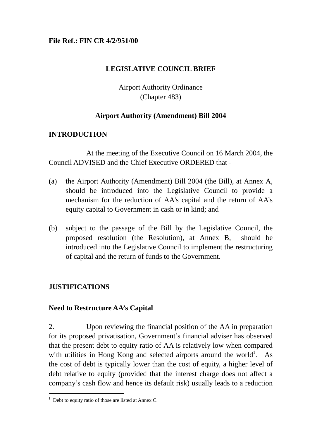### **File Ref.: FIN CR 4/2/951/00**

## **LEGISLATIVE COUNCIL BRIEF**

# Airport Authority Ordinance (Chapter 483)

## **Airport Authority (Amendment) Bill 2004**

## **INTRODUCTION**

At the meeting of the Executive Council on 16 March 2004, the Council ADVISED and the Chief Executive ORDERED that -

- (a) the Airport Authority (Amendment) Bill 2004 (the Bill), at Annex A, should be introduced into the Legislative Council to provide a mechanism for the reduction of AA's capital and the return of AA's equity capital to Government in cash or in kind; and
- (b) subject to the passage of the Bill by the Legislative Council, the proposed resolution (the Resolution), at Annex B, should be introduced into the Legislative Council to implement the restructuring of capital and the return of funds to the Government.

## **JUSTIFICATIONS**

 $\overline{a}$ 

### **Need to Restructure AA's Capital**

2. Upon reviewing the financial position of the AA in preparation for its proposed privatisation, Government's financial adviser has observed that the present debt to equity ratio of AA is relatively low when compared with utilities in Hong Kong and selected airports around the world<sup>[1](#page-0-0)</sup>. As the cost of debt is typically lower than the cost of equity, a higher level of debt relative to equity (provided that the interest charge does not affect a company's cash flow and hence its default risk) usually leads to a reduction

<span id="page-0-0"></span><sup>&</sup>lt;sup>1</sup> Debt to equity ratio of those are listed at Annex C.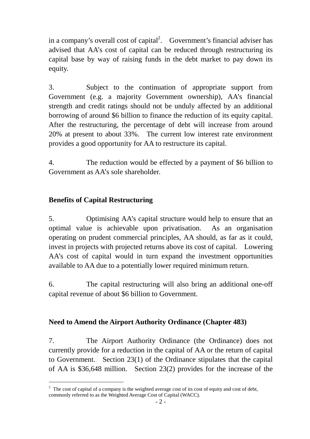in a company's overall cost of capital<sup>[2](#page-1-0)</sup>. Government's financial adviser has advised that AA's cost of capital can be reduced through restructuring its capital base by way of raising funds in the debt market to pay down its equity.

3. Subject to the continuation of appropriate support from Government (e.g. a majority Government ownership), AA's financial strength and credit ratings should not be unduly affected by an additional borrowing of around \$6 billion to finance the reduction of its equity capital. After the restructuring, the percentage of debt will increase from around 20% at present to about 33%. The current low interest rate environment provides a good opportunity for AA to restructure its capital.

4. The reduction would be effected by a payment of \$6 billion to Government as AA's sole shareholder.

# **Benefits of Capital Restructuring**

l

5. Optimising AA's capital structure would help to ensure that an optimal value is achievable upon privatisation. As an organisation operating on prudent commercial principles, AA should, as far as it could, invest in projects with projected returns above its cost of capital. Lowering AA's cost of capital would in turn expand the investment opportunities available to AA due to a potentially lower required minimum return.

6. The capital restructuring will also bring an additional one-off capital revenue of about \$6 billion to Government.

## **Need to Amend the Airport Authority Ordinance (Chapter 483)**

7. The Airport Authority Ordinance (the Ordinance) does not currently provide for a reduction in the capital of AA or the return of capital to Government. Section 23(1) of the Ordinance stipulates that the capital of AA is \$36,648 million. Section 23(2) provides for the increase of the

<span id="page-1-0"></span> $2 \text{ The cost of capital of a company is the weighted average cost of its cost of equity and cost of debt,}$ commonly referred to as the Weighted Average Cost of Capital (WACC).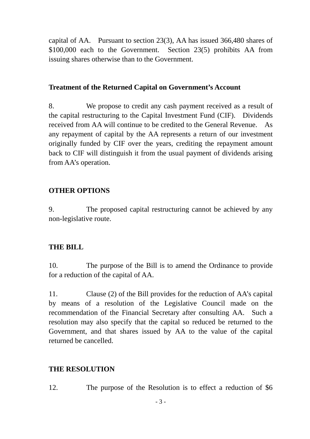capital of AA. Pursuant to section 23(3), AA has issued 366,480 shares of \$100,000 each to the Government. Section 23(5) prohibits AA from issuing shares otherwise than to the Government.

## **Treatment of the Returned Capital on Government's Account**

8. We propose to credit any cash payment received as a result of the capital restructuring to the Capital Investment Fund (CIF). Dividends received from AA will continue to be credited to the General Revenue. As any repayment of capital by the AA represents a return of our investment originally funded by CIF over the years, crediting the repayment amount back to CIF will distinguish it from the usual payment of dividends arising from AA's operation.

# **OTHER OPTIONS**

9. The proposed capital restructuring cannot be achieved by any non-legislative route.

# **THE BILL**

10. The purpose of the Bill is to amend the Ordinance to provide for a reduction of the capital of AA.

11. Clause (2) of the Bill provides for the reduction of AA's capital by means of a resolution of the Legislative Council made on the recommendation of the Financial Secretary after consulting AA. Such a resolution may also specify that the capital so reduced be returned to the Government, and that shares issued by AA to the value of the capital returned be cancelled.

## **THE RESOLUTION**

12. The purpose of the Resolution is to effect a reduction of \$6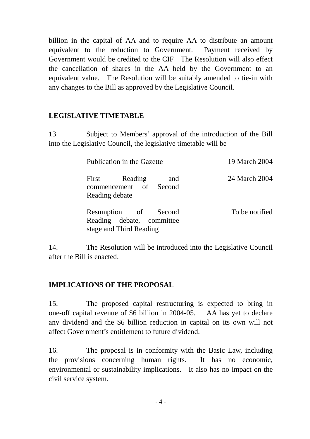billion in the capital of AA and to require AA to distribute an amount equivalent to the reduction to Government. Payment received by Government would be credited to the CIF The Resolution will also effect the cancellation of shares in the AA held by the Government to an equivalent value. The Resolution will be suitably amended to tie-in with any changes to the Bill as approved by the Legislative Council.

# **LEGISLATIVE TIMETABLE**

13. Subject to Members' approval of the introduction of the Bill into the Legislative Council, the legislative timetable will be –

| Publication in the Gazette |                                                                              |     | 19 March 2004  |
|----------------------------|------------------------------------------------------------------------------|-----|----------------|
| Reading debate             | First Reading<br>commencement of Second                                      | and | 24 March 2004  |
|                            | Resumption of Second<br>Reading debate, committee<br>stage and Third Reading |     | To be notified |

14. The Resolution will be introduced into the Legislative Council after the Bill is enacted.

## **IMPLICATIONS OF THE PROPOSAL**

15. The proposed capital restructuring is expected to bring in one-off capital revenue of \$6 billion in 2004-05. AA has yet to declare any dividend and the \$6 billion reduction in capital on its own will not affect Government's entitlement to future dividend.

16. The proposal is in conformity with the Basic Law, including the provisions concerning human rights. It has no economic, environmental or sustainability implications. It also has no impact on the civil service system.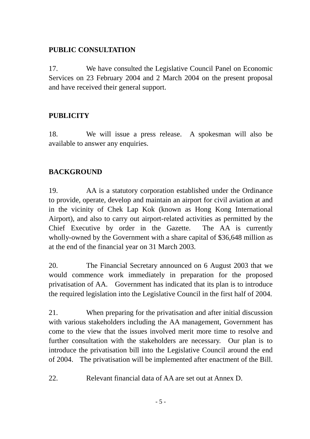# **PUBLIC CONSULTATION**

17. We have consulted the Legislative Council Panel on Economic Services on 23 February 2004 and 2 March 2004 on the present proposal and have received their general support.

# **PUBLICITY**

18. We will issue a press release. A spokesman will also be available to answer any enquiries.

# **BACKGROUND**

19. AA is a statutory corporation established under the Ordinance to provide, operate, develop and maintain an airport for civil aviation at and in the vicinity of Chek Lap Kok (known as Hong Kong International Airport), and also to carry out airport-related activities as permitted by the Chief Executive by order in the Gazette. The AA is currently wholly-owned by the Government with a share capital of \$36,648 million as at the end of the financial year on 31 March 2003.

20. The Financial Secretary announced on 6 August 2003 that we would commence work immediately in preparation for the proposed privatisation of AA. Government has indicated that its plan is to introduce the required legislation into the Legislative Council in the first half of 2004.

21. When preparing for the privatisation and after initial discussion with various stakeholders including the AA management, Government has come to the view that the issues involved merit more time to resolve and further consultation with the stakeholders are necessary. Our plan is to introduce the privatisation bill into the Legislative Council around the end of 2004. The privatisation will be implemented after enactment of the Bill.

22. Relevant financial data of AA are set out at Annex D.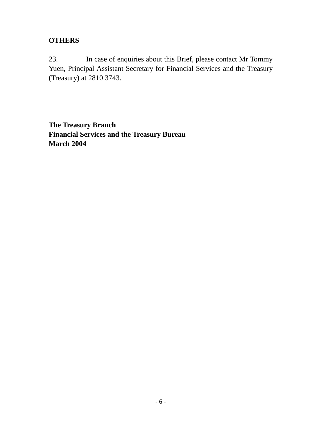# **OTHERS**

23. In case of enquiries about this Brief, please contact Mr Tommy Yuen, Principal Assistant Secretary for Financial Services and the Treasury (Treasury) at 2810 3743.

**The Treasury Branch Financial Services and the Treasury Bureau March 2004**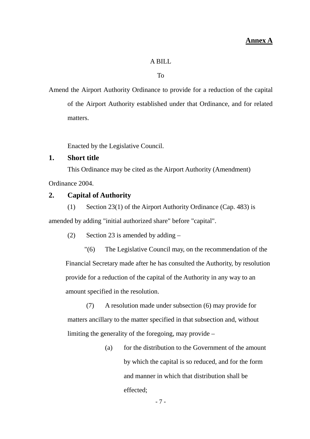#### A BILL

#### To

Amend the Airport Authority Ordinance to provide for a reduction of the capital of the Airport Authority established under that Ordinance, and for related matters.

Enacted by the Legislative Council.

### **1. Short title**

This Ordinance may be cited as the Airport Authority (Amendment)

Ordinance 2004.

### **2. Capital of Authority**

(1) Section 23(1) of the Airport Authority Ordinance (Cap. 483) is

amended by adding "initial authorized share" before "capital".

(2) Section 23 is amended by adding  $-$ 

"(6) The Legislative Council may, on the recommendation of the Financial Secretary made after he has consulted the Authority, by resolution provide for a reduction of the capital of the Authority in any way to an amount specified in the resolution.

(7) A resolution made under subsection (6) may provide for matters ancillary to the matter specified in that subsection and, without limiting the generality of the foregoing, may provide –

> (a) for the distribution to the Government of the amount by which the capital is so reduced, and for the form and manner in which that distribution shall be effected;

> > - 7 -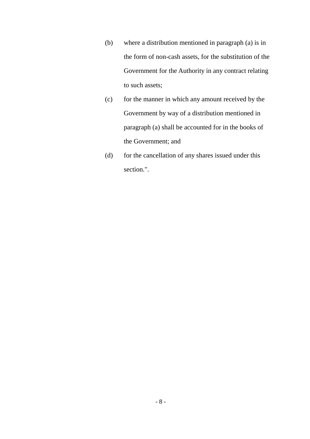- (b) where a distribution mentioned in paragraph (a) is in the form of non-cash assets, for the substitution of the Government for the Authority in any contract relating to such assets;
- (c) for the manner in which any amount received by the Government by way of a distribution mentioned in paragraph (a) shall be accounted for in the books of the Government; and
- (d) for the cancellation of any shares issued under this section.".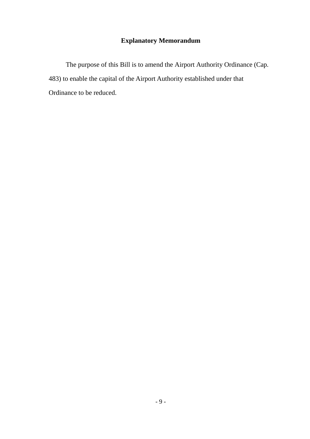# **Explanatory Memorandum**

The purpose of this Bill is to amend the Airport Authority Ordinance (Cap. 483) to enable the capital of the Airport Authority established under that Ordinance to be reduced.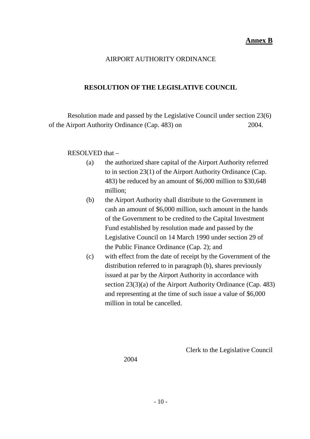### AIRPORT AUTHORITY ORDINANCE

### **RESOLUTION OF THE LEGISLATIVE COUNCIL**

Resolution made and passed by the Legislative Council under section 23(6) of the Airport Authority Ordinance (Cap. 483) on 2004.

### RESOLVED that –

- (a) the authorized share capital of the Airport Authority referred to in section 23(1) of the Airport Authority Ordinance (Cap. 483) be reduced by an amount of \$6,000 million to \$30,648 million;
- (b) the Airport Authority shall distribute to the Government in cash an amount of \$6,000 million, such amount in the hands of the Government to be credited to the Capital Investment Fund established by resolution made and passed by the Legislative Council on 14 March 1990 under section 29 of the Public Finance Ordinance (Cap. 2); and
- (c) with effect from the date of receipt by the Government of the distribution referred to in paragraph (b), shares previously issued at par by the Airport Authority in accordance with section 23(3)(a) of the Airport Authority Ordinance (Cap. 483) and representing at the time of such issue a value of \$6,000 million in total be cancelled.

Clerk to the Legislative Council

2004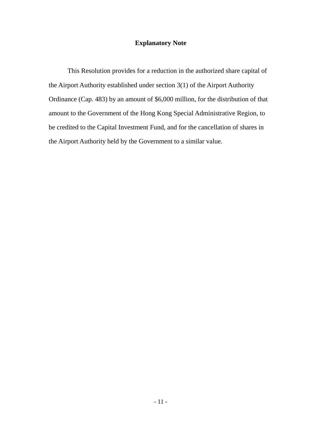#### **Explanatory Note**

This Resolution provides for a reduction in the authorized share capital of the Airport Authority established under section 3(1) of the Airport Authority Ordinance (Cap. 483) by an amount of \$6,000 million, for the distribution of that amount to the Government of the Hong Kong Special Administrative Region, to be credited to the Capital Investment Fund, and for the cancellation of shares in the Airport Authority held by the Government to a similar value.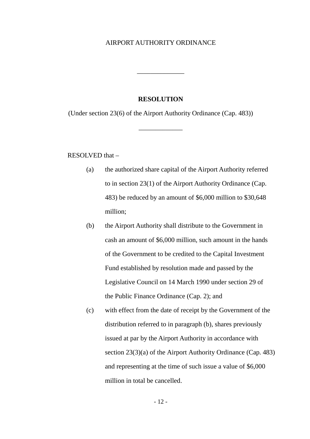#### AIRPORT AUTHORITY ORDINANCE

#### **RESOLUTION**

\_\_\_\_\_\_\_\_\_\_\_\_\_\_

(Under section 23(6) of the Airport Authority Ordinance (Cap. 483))

\_\_\_\_\_\_\_\_\_\_\_\_\_

RESOLVED that –

- (a) the authorized share capital of the Airport Authority referred to in section 23(1) of the Airport Authority Ordinance (Cap. 483) be reduced by an amount of \$6,000 million to \$30,648 million;
- (b) the Airport Authority shall distribute to the Government in cash an amount of \$6,000 million, such amount in the hands of the Government to be credited to the Capital Investment Fund established by resolution made and passed by the Legislative Council on 14 March 1990 under section 29 of the Public Finance Ordinance (Cap. 2); and
- (c) with effect from the date of receipt by the Government of the distribution referred to in paragraph (b), shares previously issued at par by the Airport Authority in accordance with section 23(3)(a) of the Airport Authority Ordinance (Cap. 483) and representing at the time of such issue a value of \$6,000 million in total be cancelled.

- 12 -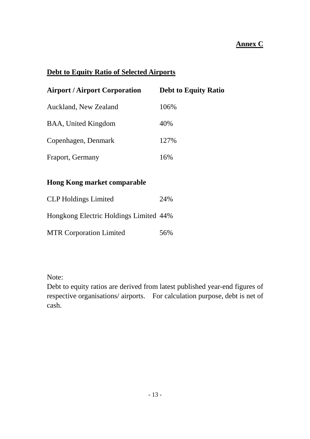# **Annex C**

# **Debt to Equity Ratio of Selected Airports**

| <b>Airport / Airport Corporation</b> | <b>Debt to Equity Ratio</b> |  |  |
|--------------------------------------|-----------------------------|--|--|
| Auckland, New Zealand                | 106%                        |  |  |
| <b>BAA, United Kingdom</b>           | 40%                         |  |  |
| Copenhagen, Denmark                  | 127%                        |  |  |
| Fraport, Germany                     | 16%                         |  |  |

# **Hong Kong market comparable**

| <b>CLP</b> Holdings Limited            | 24% |  |
|----------------------------------------|-----|--|
| Hongkong Electric Holdings Limited 44% |     |  |
| <b>MTR Corporation Limited</b>         | 56% |  |

Note:

Debt to equity ratios are derived from latest published year-end figures of respective organisations/ airports. For calculation purpose, debt is net of cash.